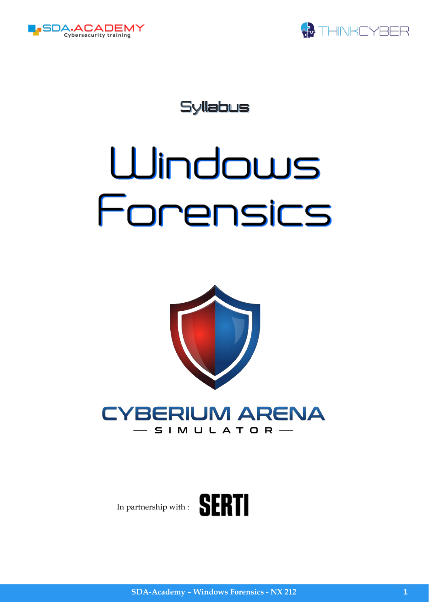



Syllabus

# Windows Forensics



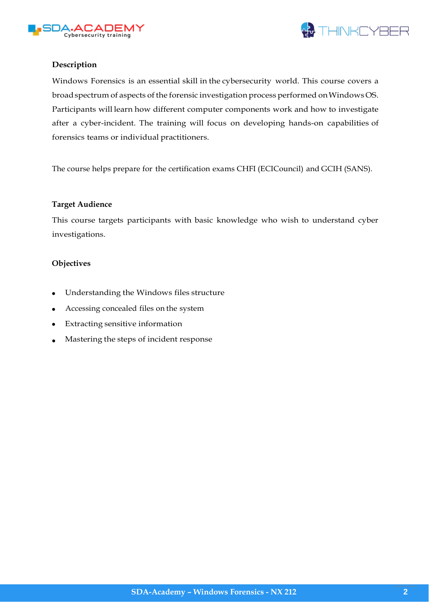



## **Description**

Windows Forensics is an essential skill in the cybersecurity world. This course covers a broad spectrum of aspects of the forensic investigation process performed on Windows OS. Participants will learn how different computer components work and how to investigate after a cyber-incident. The training will focus on developing hands-on capabilities of forensics teams or individual practitioners.

The course helps prepare for the certification exams CHFI (ECICouncil) and GCIH (SANS).

#### **Target Audience**

This course targets participants with basic knowledge who wish to understand cyber investigations.

#### **Objectives**

- Understanding the Windows files structure
- Accessing concealed files on the system
- Extracting sensitive information
- Mastering the steps of incident response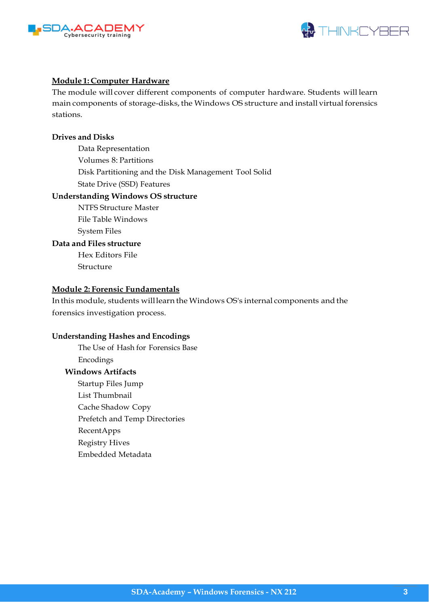



#### **Module 1: Computer Hardware**

The module will cover different components of computer hardware. Students will learn main components of storage-disks, the Windows OS structure and install virtual forensics stations.

#### **Drives and Disks**

Data Representation Volumes 8: Partitions Disk Partitioning and the Disk Management Tool Solid State Drive (SSD) Features

#### **Understanding Windows OS structure**

NTFS Structure Master File Table Windows System Files

#### **Data and Files structure**

Hex Editors File Structure

#### **Module 2: Forensic Fundamentals**

In this module, students willlearn the Windows OS's internal components and the forensics investigation process.

#### **Understanding Hashes and Encodings**

The Use of Hash for Forensics Base Encodings

# **Windows Artifacts**

Startup Files Jump List Thumbnail Cache Shadow Copy Prefetch and Temp Directories RecentApps Registry Hives Embedded Metadata